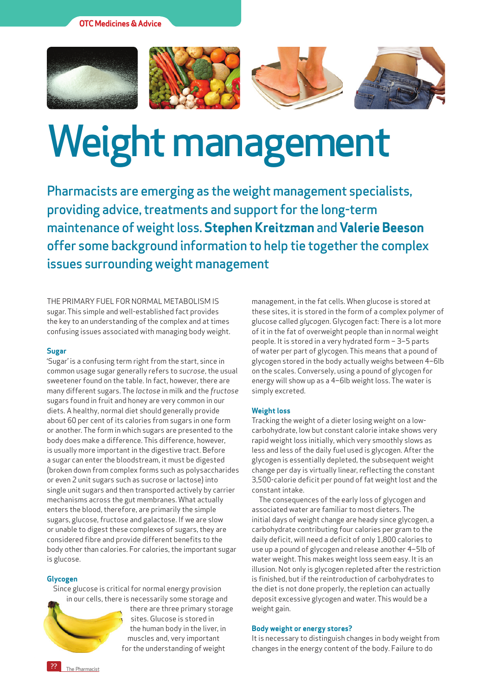**OTC Medicines & Advice**









# Weight management

Pharmacists are emerging as the weight management specialists, providing advice, treatments and support for the long-term maintenance of weight loss. **Stephen Kreitzman** and **Valerie Beeson**  offer some background information to help tie together the complex issues surrounding weight management

The primary fuel for normal metabolism is sugar. This simple and well-established fact provides the key to an understanding of the complex and at times confusing issues associated with managing body weight.

#### **Sugar**

'Sugar' is a confusing term right from the start, since in common usage sugar generally refers to *sucrose*, the usual sweetener found on the table. In fact, however, there are many different sugars. The *lactose* in milk and the *fructose* sugars found in fruit and honey are very common in our diets. A healthy, normal diet should generally provide about 60 per cent of its calories from sugars in one form or another. The form in which sugars are presented to the body does make a difference. This difference, however, is usually more important in the digestive tract. Before a sugar can enter the bloodstream, it must be digested (broken down from complex forms such as polysaccharides or even 2 unit sugars such as sucrose or lactose) into single unit sugars and then transported actively by carrier mechanisms across the gut membranes. What actually enters the blood, therefore, are primarily the simple sugars, glucose, fructose and galactose. If we are slow or unable to digest these complexes of sugars, they are considered fibre and provide different benefits to the body other than calories. For calories, the important sugar is glucose.

## **Glycogen**

Since glucose is critical for normal energy provision in our cells, there is necessarily some storage and



there are three primary storage sites. Glucose is stored in the human body in the liver, in muscles and, very important for the understanding of weight

management, in the fat cells. When glucose is stored at these sites, it is stored in the form of a complex polymer of glucose called *glycogen*. Glycogen fact: There is a lot more of it in the fat of overweight people than in normal weight people. It is stored in a very hydrated form – 3–5 parts of water per part of glycogen. This means that a pound of glycogen stored in the body actually weighs between 4–6lb on the scales. Conversely, using a pound of glycogen for energy will show up as a 4–6lb weight loss. The water is simply excreted.

# **Weight loss**

Tracking the weight of a dieter losing weight on a lowcarbohydrate, low but constant calorie intake shows very rapid weight loss initially, which very smoothly slows as less and less of the daily fuel used is glycogen. After the glycogen is essentially depleted, the subsequent weight change per day is virtually linear, reflecting the constant 3,500-calorie deficit per pound of fat weight lost and the constant intake.

The consequences of the early loss of glycogen and associated water are familiar to most dieters. The initial days of weight change are heady since glycogen, a carbohydrate contributing four calories per gram to the daily deficit, will need a deficit of only 1,800 calories to use up a pound of glycogen and release another 4–5lb of water weight. This makes weight loss seem easy. It is an illusion. Not only is glycogen repleted after the restriction is finished, but if the reintroduction of carbohydrates to the diet is not done properly, the repletion can actually deposit excessive glycogen and water. This would be a weight gain.

## **Body weight or energy stores?**

It is necessary to distinguish changes in body weight from changes in the energy content of the body. Failure to do